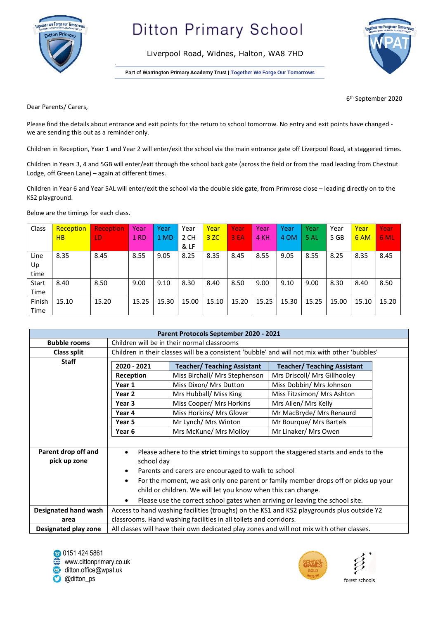

## **Ditton Primary School**

Liverpool Road, Widnes, Halton, WA8 7HD

Part of Warrington Primary Academy Trust | Together We Forge Our Tomorrows



6 th September 2020

Dear Parents/ Carers,

Please find the details about entrance and exit points for the return to school tomorrow. No entry and exit points have changed we are sending this out as a reminder only.

Children in Reception, Year 1 and Year 2 will enter/exit the school via the main entrance gate off Liverpool Road, at staggered times.

Children in Years 3, 4 and 5GB will enter/exit through the school back gate (across the field or from the road leading from Chestnut Lodge, off Green Lane) – again at different times.

Children in Year 6 and Year 5AL will enter/exit the school via the double side gate, from Primrose close – leading directly on to the KS2 playground.

Below are the timings for each class.

| Class        | Reception | <b>Reception</b> | Year        | Year  | Year  | Year  | Year  | Year  | Year  | Year  | Year  | Year  | Year  |
|--------------|-----------|------------------|-------------|-------|-------|-------|-------|-------|-------|-------|-------|-------|-------|
|              | HB        | LD               | <b>1 RD</b> | 1 MD  | 2 CH  | 3ZC   | 3 EA  | 4 KH  | 4 OM  | 5 AL  | 5 GB  | 6 AM  | 6 ML  |
|              |           |                  |             |       | & LF  |       |       |       |       |       |       |       |       |
| Line         | 8.35      | 8.45             | 8.55        | 9.05  | 8.25  | 8.35  | 8.45  | 8.55  | 9.05  | 8.55  | 8.25  | 8.35  | 8.45  |
| Up           |           |                  |             |       |       |       |       |       |       |       |       |       |       |
| time         |           |                  |             |       |       |       |       |       |       |       |       |       |       |
| <b>Start</b> | 8.40      | 8.50             | 9.00        | 9.10  | 8.30  | 8.40  | 8.50  | 9.00  | 9.10  | 9.00  | 8.30  | 8.40  | 8.50  |
| Time         |           |                  |             |       |       |       |       |       |       |       |       |       |       |
| Finish       | 15.10     | 15.20            | 15.25       | 15.30 | 15.00 | 15.10 | 15.20 | 15.25 | 15.30 | 15.25 | 15.00 | 15.10 | 15.20 |
| Time         |           |                  |             |       |       |       |       |       |       |       |       |       |       |

|                             |                                                                                                  | Parent Protocols September 2020 - 2021 |                                    |  |  |  |
|-----------------------------|--------------------------------------------------------------------------------------------------|----------------------------------------|------------------------------------|--|--|--|
| <b>Bubble rooms</b>         | Children will be in their normal classrooms                                                      |                                        |                                    |  |  |  |
| <b>Class split</b>          | Children in their classes will be a consistent 'bubble' and will not mix with other 'bubbles'    |                                        |                                    |  |  |  |
| <b>Staff</b>                | 2020 - 2021                                                                                      | <b>Teacher/ Teaching Assistant</b>     | <b>Teacher/ Teaching Assistant</b> |  |  |  |
|                             | Reception                                                                                        | Miss Birchall/ Mrs Stephenson          | Mrs Driscoll/ Mrs Gillhooley       |  |  |  |
|                             | Year 1                                                                                           | Miss Dixon/ Mrs Dutton                 | Miss Dobbin/ Mrs Johnson           |  |  |  |
|                             | Year <sub>2</sub>                                                                                | Mrs Hubball/ Miss King                 | Miss Fitzsimon/ Mrs Ashton         |  |  |  |
|                             | Year <sub>3</sub>                                                                                | Miss Cooper/ Mrs Horkins               | Mrs Allen/ Mrs Kelly               |  |  |  |
|                             | Year 4                                                                                           | Miss Horkins/ Mrs Glover               | Mr MacBryde/ Mrs Renaurd           |  |  |  |
|                             | Year 5                                                                                           | Mr Lynch/ Mrs Winton                   | Mr Bourque/ Mrs Bartels            |  |  |  |
|                             | Year <sub>6</sub>                                                                                | Mrs McKune/ Mrs Molloy                 | Mr Linaker/ Mrs Owen               |  |  |  |
|                             |                                                                                                  |                                        |                                    |  |  |  |
| Parent drop off and         | Please adhere to the strict timings to support the staggered starts and ends to the<br>$\bullet$ |                                        |                                    |  |  |  |
| pick up zone                | school day                                                                                       |                                        |                                    |  |  |  |
|                             | Parents and carers are encouraged to walk to school<br>٠                                         |                                        |                                    |  |  |  |
|                             | For the moment, we ask only one parent or family member drops off or picks up your<br>$\bullet$  |                                        |                                    |  |  |  |
|                             | child or children. We will let you know when this can change.                                    |                                        |                                    |  |  |  |
|                             | Please use the correct school gates when arriving or leaving the school site.<br>$\bullet$       |                                        |                                    |  |  |  |
| <b>Designated hand wash</b> | Access to hand washing facilities (troughs) on the KS1 and KS2 playgrounds plus outside Y2       |                                        |                                    |  |  |  |
| area                        | classrooms. Hand washing facilities in all toilets and corridors.                                |                                        |                                    |  |  |  |
| Designated play zone        | All classes will have their own dedicated play zones and will not mix with other classes.        |                                        |                                    |  |  |  |